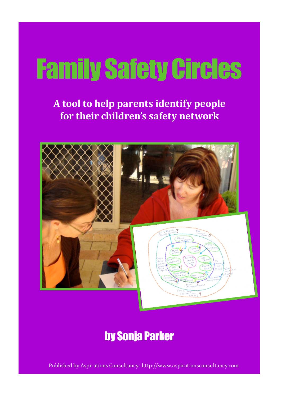# Family Safety Circles

**A tool to help parents identify people for their children's safety network**



## by Sonja Parker

Published by Aspirations Consultancy. http://www.aspirationsconsultancy.com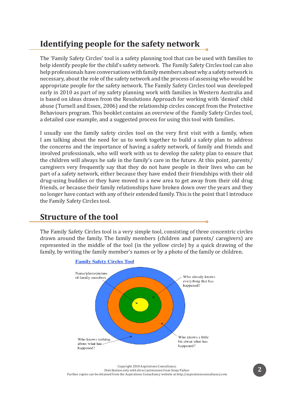## **Identifying people for the safety network**

The 'Family Safety Circles' tool is a safety planning tool that can be used with families to help identify people for the child's safety network. The Family Safety Circles tool can also help professionals have conversations with family members about why a safety network is necessary, about the role of the safety network and the process of assessing who would be appropriate people for the safety network. The Family Safety Circles tool was developed early in 2010 as part of my safety planning work with families in Western Australia and is based on ideas drawn from the Resolutions Approach for working with 'denied' child abuse (Turnell and Essex, 2006) and the relationship circles concept from the Protective Behaviours program. This booklet contains an overview of the Family Safety Circles tool, a detailed case example, and a suggested process for using this tool with families.

I usually use the family safety circles tool on the very first visit with a family, when I am talking about the need for us to work together to build a safety plan to address the concerns and the importance of having a safety network, of family and friends and involved professionals, who will work with us to develop the safety plan to ensure that the children will always be safe in the family's care in the future. At this point, parents/ caregivers very frequently say that they do not have people in their lives who can be part of a safety network, either because they have ended their friendships with their old drug-using buddies or they have moved to a new area to get away from their old drug friends, or because their family relationships have broken down over the years and they no longer have contact with any of their extended family. This is the point that I introduce the Family Safety Circles tool.

### **Structure of the tool**

The Family Safety Circles tool is a very simple tool, consisting of three concentric circles drawn around the family. The family members (children and parents/ caregivers) are represented in the middle of the tool (in the yellow circle) by a quick drawing of the family, by writing the family member's names or by a photo of the family or children.



**Family Safety Circles Tool**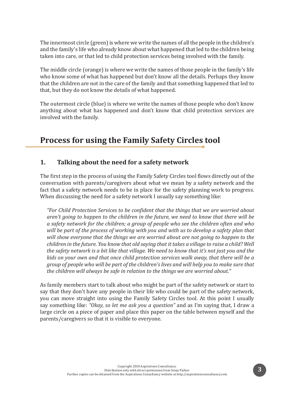The innermost circle (green) is where we write the names of all the people in the children's and the family's life who already know about what happened that led to the children being taken into care, or that led to child protection services being involved with the family.

The middle circle (orange) is where we write the names of those people in the family's life who know some of what has happened but don't know all the details. Perhaps they know that the children are not in the care of the family and that something happened that led to that, but they do not know the details of what happened.

The outermost circle (blue) is where we write the names of those people who don't know anything about what has happened and don't know that child protection services are involved with the family.

## **Process for using the Family Safety Circles tool**

#### **1. Talking about the need for a safety network**

The first step in the process of using the Family Safety Circles tool flows directly out of the conversation with parents/caregivers about what we mean by a safety network and the fact that a safety network needs to be in place for the safety planning work to progress. When discussing the need for a safety network I usually say something like:

*"For Child Protection Services to be confident that the things that we are worried about aren't going to happen to the children in the future, we need to know that there will be a safety network for the children; a group of people who see the children often and who will be part of the process of working with you and with us to develop a safety plan that will show everyone that the things we are worried about are not going to happen to the children in the future. You know that old saying that it takes a village to raise a child? Well the safety network is a bit like that village. We need to know that it's not just you and the kids on your own and that once child protection services walk away, that there will be a group of people who will be part of the children's lives and will help you to make sure that the children will always be safe in relation to the things we are worried about."*

As family members start to talk about who might be part of the safety network or start to say that they don't have any people in their life who could be part of the safety network, you can move straight into using the Family Safety Circles tool. At this point I usually say something like: *"Okay, so let me ask you a question"* and as I'm saying that, I draw a large circle on a piece of paper and place this paper on the table between myself and the parents/caregivers so that it is visible to everyone.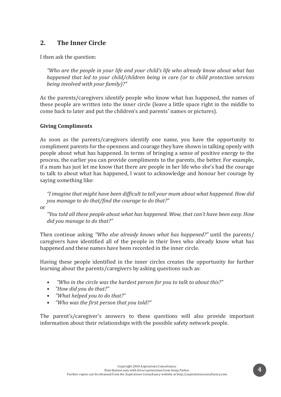#### **2. The Inner Circle**

I then ask the question:

*"Who are the people in your life and your child's life who already know about what has happened that led to your child/children being in care (or to child protection services being involved with your family)?"*

As the parents/caregivers identify people who know what has happened, the names of these people are written into the inner circle (leave a little space right in the middle to come back to later and put the children's and parents' names or pictures).

#### **Giving Compliments**

As soon as the parents/caregivers identify one name, you have the opportunity to compliment parents for the openness and courage they have shown in talking openly with people about what has happened. In terms of bringing a sense of positive energy to the process, the earlier you can provide compliments to the parents, the better. For example, if a mum has just let me know that there are people in her life who she's had the courage to talk to about what has happened, I want to acknowledge and honour her courage by saying something like:

*"I imagine that might have been difficult to tell your mum about what happened. How did you manage to do that/find the courage to do that?"*

or

*"You told all these people about what has happened. Wow, that can't have been easy. How did you manage to do that?"*

Then continue asking *"Who else already knows what has happened?"* until the parents/ caregivers have identified all of the people in their lives who already know what has happened and these names have been recorded in the inner circle.

Having these people identified in the inner circles creates the opportunity for further learning about the parents/caregivers by asking questions such as:

- *"Who in the circle was the hardest person for you to talk to about this?"*
- *• "How did you do that?"*
- *• "What helped you to do that?"*
- *• "Who was the first person that you told?"*

The parent's/caregiver's answers to these questions will also provide important information about their relationships with the possible safety network people.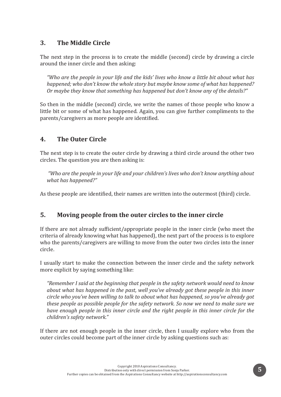#### **3. The Middle Circle**

The next step in the process is to create the middle (second) circle by drawing a circle around the inner circle and then asking:

*"Who are the people in your life and the kids' lives who know a little bit about what has happened; who don't know the whole story but maybe know some of what has happened? Or maybe they know that something has happened but don't know any of the details?"*

So then in the middle (second) circle, we write the names of those people who know a little bit or some of what has happened. Again, you can give further compliments to the parents/caregivers as more people are identified.

#### **4. The Outer Circle**

The next step is to create the outer circle by drawing a third circle around the other two circles. The question you are then asking is:

 *"Who are the people in your life and your children's lives who don't know anything about what has happened?"* 

As these people are identified, their names are written into the outermost (third) circle.

#### **5. Moving people from the outer circles to the inner circle**

If there are not already sufficient/appropriate people in the inner circle (who meet the criteria of already knowing what has happened), the next part of the process is to explore who the parents/caregivers are willing to move from the outer two circles into the inner circle.

I usually start to make the connection between the inner circle and the safety network more explicit by saying something like:

*"Remember I said at the beginning that people in the safety network would need to know about what has happened in the past, well you've already got these people in this inner circle who you've been willing to talk to about what has happened, so you've already got these people as possible people for the safety network. So now we need to make sure we have enough people in this inner circle and the right people in this inner circle for the children's safety network."*

If there are not enough people in the inner circle, then I usually explore who from the outer circles could become part of the inner circle by asking questions such as: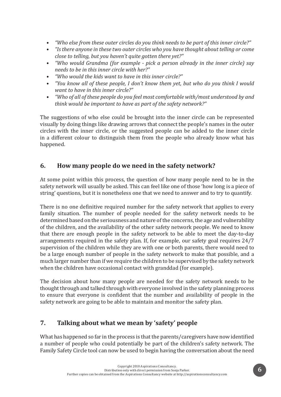- *• "Who else from these outer circles do you think needs to be part of this inner circle?"*
- *• "Is there anyone in these two outer circles who you have thought about telling or come close to telling, but you haven't quite gotten there yet?"*
- *• "Who would Grandma (for example pick a person already in the inner circle) say needs to be in this inner circle with her?"*
- *• "Who would the kids want to have in this inner circle?"*
- *• "You know all of these people, I don't know them yet, but who do you think I would want to have in this inner circle?"*
- *• "Who of all of these people do you feel most comfortable with/most understood by and think would be important to have as part of the safety network?"*

The suggestions of who else could be brought into the inner circle can be represented visually by doing things like drawing arrows that connect the people's names in the outer circles with the inner circle, or the suggested people can be added to the inner circle in a different colour to distinguish them from the people who already know what has happened.

#### **6. How many people do we need in the safety network?**

At some point within this process, the question of how many people need to be in the safety network will usually be asked. This can feel like one of those 'how long is a piece of string' questions, but it is nonetheless one that we need to answer and to try to quantify.

There is no one definitive required number for the safety network that applies to every family situation. The number of people needed for the safety network needs to be determined based on the seriousness and nature of the concerns, the age and vulnerability of the children, and the availability of the other safety network people. We need to know that there are enough people in the safety network to be able to meet the day-to-day arrangements required in the safety plan. If, for example, our safety goal requires 24/7 supervision of the children while they are with one or both parents, there would need to be a large enough number of people in the safety network to make that possible, and a much larger number than if we require the children to be supervised by the safety network when the children have occasional contact with granddad (for example).

The decision about how many people are needed for the safety network needs to be thought through and talked through with everyone involved in the safety planning process to ensure that everyone is confident that the number and availability of people in the safety network are going to be able to maintain and monitor the safety plan.

#### **7. Talking about what we mean by 'safety' people**

What has happened so far in the process is that the parents/caregivers have now identified a number of people who could potentially be part of the children's safety network. The Family Safety Circle tool can now be used to begin having the conversation about the need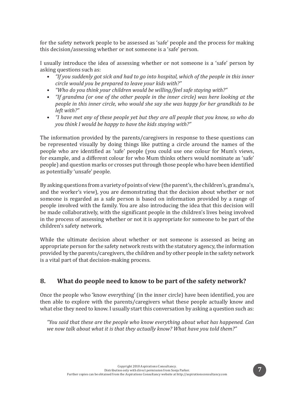for the safety network people to be assessed as 'safe' people and the process for making this decision/assessing whether or not someone is a 'safe' person.

I usually introduce the idea of assessing whether or not someone is a 'safe' person by asking questions such as:

- *• "If you suddenly got sick and had to go into hospital, which of the people in this inner circle would you be prepared to leave your kids with?"*
- *• "Who do you think your children would be willing/feel safe staying with?"*
- *• "If grandma (or one of the other people in the inner circle) was here looking at the people in this inner circle, who would she say she was happy for her grandkids to be left with?"*
- *• "I have met any of these people yet but they are all people that you know, so who do you think I would be happy to have the kids staying with?"*

The information provided by the parents/caregivers in response to these questions can be represented visually by doing things like putting a circle around the names of the people who are identified as 'safe' people (you could use one colour for Mum's views, for example, and a different colour for who Mum thinks others would nominate as 'safe' people) and question marks or crosses put through those people who have been identified as potentially 'unsafe' people.

By asking questions from a variety of points of view (the parent's, the children's, grandma's, and the worker's view), you are demonstrating that the decision about whether or not someone is regarded as a safe person is based on information provided by a range of people involved with the family. You are also introducing the idea that this decision will be made collaboratively, with the significant people in the children's lives being involved in the process of assessing whether or not it is appropriate for someone to be part of the children's safety network.

While the ultimate decision about whether or not someone is assessed as being an appropriate person for the safety network rests with the statutory agency, the information provided by the parents/caregivers, the children and by other people in the safety network is a vital part of that decision-making process.

#### **8. What do people need to know to be part of the safety network?**

Once the people who 'know everything' (in the inner circle) have been identified, you are then able to explore with the parents/caregivers what these people actually know and what else they need to know. I usually start this conversation by asking a question such as:

*"You said that these are the people who know everything about what has happened. Can we now talk about what it is that they actually know? What have you told them?"*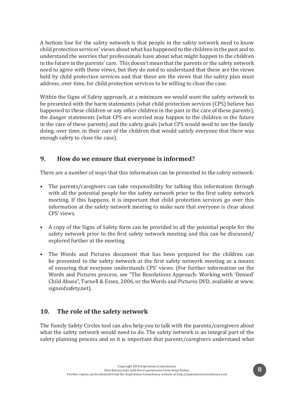A bottom line for the safety network is that people in the safety network need to know child protection services' views about what has happened to the children in the past and to understand the worries that professionals have about what might happen to the children in the future in the parents' care. This doesn't mean that the parents or the safety network need to agree with these views, but they do need to understand that these are the views held by child protection services and that these are the views that the safety plan must address, over time, for child protection services to be willing to close the case.

Within the Signs of Safety approach, at a minimum we would want the safety network to be presented with the harm statements (what child protection services (CPS) believe has happened to these children or any other children in the past in the care of these parents), the danger statements (what CPS are worried may happen to the children in the future in the care of these parents) and the safety goals (what CPS would need to see the family doing, over time, in their care of the children that would satisfy everyone that there was enough safety to close the case).

#### **9. How do we ensure that everyone is informed?**

There are a number of ways that this information can be presented to the safety network:

- The parents/caregivers can take responsibility for talking this information through with all the potential people for the safety network prior to the first safety network meeting. If this happens, it is important that child protection services go over this information at the safety network meeting to make sure that everyone is clear about CPS' views.
- A copy of the Signs of Safety form can be provided to all the potential people for the safety network prior to the first safety network meeting and this can be discussed/ explored further at the meeting.
- The Words and Pictures document that has been prepared for the children can be presented to the safety network at the first safety network meeting as a means of ensuring that everyone understands CPS' views. (For further information on the Words and Pictures process, see "The Resolutions Approach: Working with 'Denied' Child Abuse", Turnell & Essex, 2006, or the Words and Pictures DVD, available at www. signsofsafety.net).

#### **10. The role of the safety network**

The Family Safety Circles tool can also help you to talk with the parents/caregivers about what the safety network would need to do. The safety network is an integral part of the safety planning process and so it is important that parents/caregivers understand what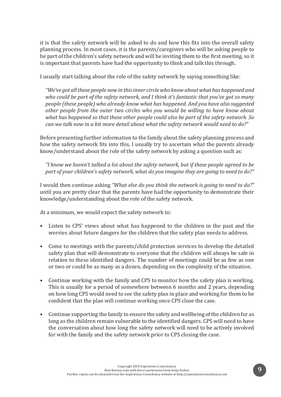it is that the safety network will be asked to do and how this fits into the overall safety planning process. In most cases, it is the parents/caregivers who will be asking people to be part of the children's safety network and will be inviting them to the first meeting, so it is important that parents have had the opportunity to think and talk this through.

I usually start talking about the role of the safety network by saying something like:

*"We've got all these people now in this inner circle who know about what has happened and who could be part of the safety network, and I think it's fantastic that you've got so many people (these people) who already know what has happened. And you have also suggested other people from the outer two circles who you would be willing to have know about what has happened so that these other people could also be part of the safety network. So can we talk now in a bit more detail about what the safety network would need to do?"*

Before presenting further information to the family about the safety planning process and how the safety network fits into this, I usually try to ascertain what the parents already know/understand about the role of the safety network by asking a question such as:

*"I know we haven't talked a lot about the safety network, but if these people agreed to be part of your children's safety network, what do you imagine they are going to need to do?"*

I would then continue asking *"What else do you think the network is going to need to do?"*  until you are pretty clear that the parents have had the opportunity to demonstrate their knowledge/understanding about the role of the safety network.

At a minimum, we would expect the safety network to:

- Listen to CPS' views about what has happened to the children in the past and the worries about future dangers for the children that the safety plan needs to address.
- Come to meetings with the parents/child protection services to develop the detailed safety plan that will demonstrate to everyone that the children will always be safe in relation to these identified dangers. The number of meetings could be as few as one or two or could be as many as a dozen, depending on the complexity of the situation.
- Continue working with the family and CPS to monitor how the safety plan is working. This is usually for a period of somewhere between 6 months and 2 years, depending on how long CPS would need to see the safety plan in place and working for them to be confident that the plan will continue working once CPS close the case.
- Continue supporting the family to ensure the safety and wellbeing of the children for as long as the children remain vulnerable to the identified dangers. CPS will need to have the conversation about how long the safety network will need to be actively involved for with the family and the safety network prior to CPS closing the case.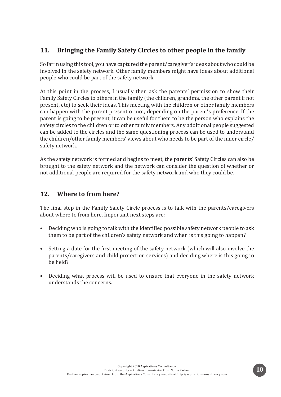#### **11. Bringing the Family Safety Circles to other people in the family**

So far in using this tool, you have captured the parent/caregiver's ideas about who could be involved in the safety network. Other family members might have ideas about additional people who could be part of the safety network.

At this point in the process, I usually then ask the parents' permission to show their Family Safety Circles to others in the family (the children, grandma, the other parent if not present, etc) to seek their ideas. This meeting with the children or other family members can happen with the parent present or not, depending on the parent's preference. If the parent is going to be present, it can be useful for them to be the person who explains the safety circles to the children or to other family members. Any additional people suggested can be added to the circles and the same questioning process can be used to understand the children/other family members' views about who needs to be part of the inner circle/ safety network.

As the safety network is formed and begins to meet, the parents' Safety Circles can also be brought to the safety network and the network can consider the question of whether or not additional people are required for the safety network and who they could be.

#### **12. Where to from here?**

The final step in the Family Safety Circle process is to talk with the parents/caregivers about where to from here. Important next steps are:

- Deciding who is going to talk with the identified possible safety network people to ask them to be part of the children's safety network and when is this going to happen?
- Setting a date for the first meeting of the safety network (which will also involve the parents/caregivers and child protection services) and deciding where is this going to be held?
- Deciding what process will be used to ensure that everyone in the safety network understands the concerns.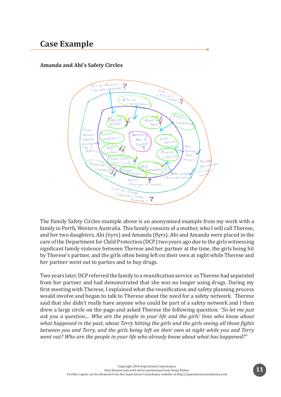## **Case Example**

#### **Amanda and Abi's Safety Circles**



The Family Safety Circles example above is an anonymised example from my work with a family in Perth, Western Australia. This family consists of a mother, who I will call Therese, and her two daughters, Abi (6yrs) and Amanda (8yrs). Abi and Amanda were placed in the care of the Department for Child Protection (DCP) two years ago due to the girls witnessing signficant family violence between Therese and her partner at the time, the girls being hit by Therese's partner, and the girls often being left on their own at night while Therese and her partner went out to parties and to buy drugs.

Two years later, DCP referred the family to a reunification service as Therese had separated from her partner and had demonstrated that she was no longer using drugs. During my first meeting with Therese, I explained what the reunification and safety planning process would involve and began to talk to Therese about the need for a safety network. Therese said that she didn't really have anyone who could be part of a safety network and I then drew a large circle on the page and asked Therese the following question: *"So let me just ask you a question.... Who are the people in your life and the girls' lives who know about what happened in the past, about Terry hitting the girls and the girls seeing all those fights between you and Terry, and the girls being left on their own at night while you and Terry went out? Who are the people in your life who already know about what has happened?"*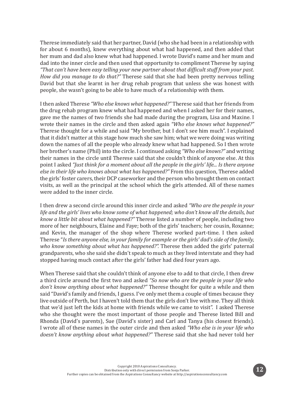Therese immediately said that her partner, David (who she had been in a relationship with for about 6 months), knew everything about what had happened, and then added that her mum and dad also knew what had happened. I wrote David's name and her mum and dad into the inner circle and then used that opportunity to compliment Therese by saying *"That can't have been easy telling your new partner about that difficult stuff from your past. How did you manage to do that?"* Therese said that she had been pretty nervous telling David but that she learnt in her drug rehab program that unless she was honest with people, she wasn't going to be able to have much of a relationship with them.

I then asked Therese *"Who else knows what happened?"* Therese said that her friends from the drug rehab program knew what had happened and when I asked her for their names, gave me the names of two friends she had made during the program, Lisa and Maxine. I wrote their names in the circle and then asked again *"Who else knows what happened?"*  Therese thought for a while and said "My brother, but I don't see him much". I explained that it didn't matter at this stage how much she saw him; what we were doing was writing down the names of all the people who already knew what had happened. So I then wrote her brother's name (Phil) into the circle. I continued asking *"Who else knows?"* and writing their names in the circle until Therese said that she couldn't think of anyone else. At this point I asked *"Just think for a moment about all the people in the girls' life... Is there anyone else in their life who knows about what has happened?"* From this question, Therese added the girls' foster carers, their DCP caseworker and the person who brought them on contact visits, as well as the principal at the school which the girls attended. All of these names were added to the inner circle.

I then drew a second circle around this inner circle and asked *"Who are the people in your life and the girls' lives who know some of what happened; who don't know all the details, but know a little bit about what happened?"* Therese listed a number of people, including two more of her neighbours, Elaine and Faye; both of the girls' teachers; her cousin, Roxanne; and Kevin, the manager of the shop where Therese worked part-time. I then asked Therese "*Is there anyone else, in your family for example or the girls' dad's side of the family, who know something about what has happened?".* Therese then added the girls' paternal grandparents, who she said she didn't speak to much as they lived interstate and they had stopped having much contact after the girls' father had died four years ago.

When Therese said that she couldn't think of anyone else to add to that circle, I then drew a third circle around the first two and asked *"So now who are the people in your life who don't know anything about what happened?"* Therese thought for quite a while and then said "David's family and friends, I guess. I've only met them a couple of times because they live outside of Perth, but I haven't told them that the girls don't live with me. They all think that we'd just left the kids at home with friends while we came to visit". I asked Therese who she thought were the most important of those people and Therese listed Bill and Rhonda (David's parents), Sue (David's sister) and Carl and Tanya (his closest friends). I wrote all of these names in the outer circle and then asked *"Who else is in your life who doesn't know anything about what happened?"* Therese said that she had never told her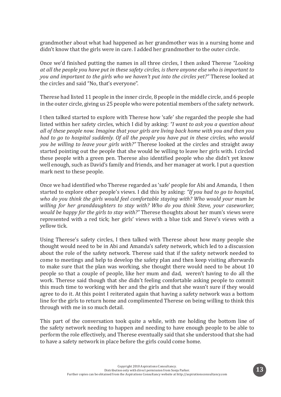grandmother about what had happened as her grandmother was in a nursing home and didn't know that the girls were in care. I added her grandmother to the outer circle.

Once we'd finished putting the names in all three circles, I then asked Therese *"Looking at all the people you have put in these safety circles, is there anyone else who is important to you and important to the girls who we haven't put into the circles yet?"* Therese looked at the circles and said "No, that's everyone".

Therese had listed 11 people in the inner circle, 8 people in the middle circle, and 6 people in the outer circle, giving us 25 people who were potential members of the safety network.

I then talked started to explore with Therese how 'safe' she regarded the people she had listed within her safety circles, which I did by asking: *"I want to ask you a question about all of these people now. Imagine that your girls are living back home with you and then you had to go to hospital suddenly. Of all the people you have put in these circles, who would you be willing to leave your girls with?"* Therese looked at the circles and straight away started pointing out the people that she would be willing to leave her girls with. I circled these people with a green pen. Therese also identified people who she didn't yet know well enough, such as David's family and friends, and her manager at work. I put a question mark next to these people.

Once we had identified who Therese regarded as 'safe' people for Abi and Amanda, I then started to explore other people's views. I did this by asking: *"If you had to go to hospital, who do you think the girls would feel comfortable staying with? Who would your mum be willing for her granddaughters to stay with? Who do you think Steve, your caseworker, would be happy for the girls to stay with?"* Therese thoughts about her mum's views were represented with a red tick; her girls' views with a blue tick and Steve's views with a yellow tick.

Using Therese's safety circles, I then talked with Therese about how many people she thought would need to be in Abi and Amanda's safety network, which led to a discussion about the role of the safety network. Therese said that if the safety network needed to come to meetings and help to develop the safety plan and then keep visiting afterwards to make sure that the plan was working, she thought there would need to be about 10 people so that a couple of people, like her mum and dad, weren't having to do all the work. Therese said though that she didn't feeling comfortable asking people to commit this much time to working with her and the girls and that she wasn't sure if they would agree to do it. At this point I reiterated again that having a safety network was a bottom line for the girls to return home and complimented Therese on being willing to think this through with me in so much detail.

This part of the conversation took quite a while, with me holding the bottom line of the safety network needing to happen and needing to have enough people to be able to perform the role effectively, and Therese eventually said that she understood that she had to have a safety network in place before the girls could come home.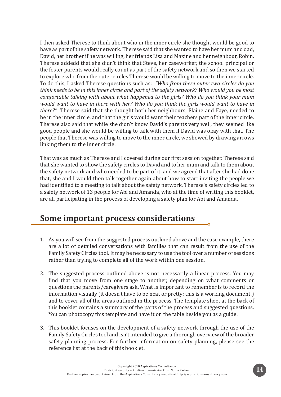I then asked Therese to think about who in the inner circle she thought would be good to have as part of the safety network. Therese said that she wanted to have her mum and dad, David, her brother if he was willing, her friends Lisa and Maxine and her neighbour, Robin. Therese addedd that she didn't think that Steve, her caseworker, the school principal or the foster parents would really count as part of the safety network and so then we started to explore who from the outer circles Therese would be willing to move to the inner circle. To do this, I asked Therese questions such as: *"Who from these outer two circles do you think needs to be in this inner circle and part of the safety network? Who would you be most comfortable talking with about what happened to the girls? Who do you think your mum would want to have in there with her? Who do you think the girls would want to have in there?"* Therese said that she thought both her neighbours, Elaine and Faye, needed to be in the inner circle, and that the girls would want their teachers part of the inner circle. Therese also said that while she didn't know David's parents very well, they seemed like good people and she would be willing to talk with them if David was okay with that. The people that Therese was willing to move to the inner circle, we showed by drawing arrows linking them to the inner circle.

That was as much as Therese and I covered during our first session together. Therese said that she wanted to show the safety circles to David and to her mum and talk to them about the safety network and who needed to be part of it, and we agreed that after she had done that, she and I would then talk together again about how to start inviting the people we had identified to a meeting to talk about the safety network. Therese's safety circles led to a safety network of 13 people for Abi and Amanda, who at the time of writing this booklet, are all participating in the process of developing a safety plan for Abi and Amanda.

## **Some important process considerations**

1. As you will see from the suggested process outlined above and the case example, there are a lot of detailed conversations with families that can result from the use of the Family Safety Circles tool. It may be necessary to use the tool over a number of sessions rather than trying to complete all of the work within one session.

ö

- 2. The suggested process outlined above is not necessarily a linear process. You may find that you move from one stage to another, depending on what comments or questions the parents/caregivers ask. What is important to remember is to record the information visually (it doesn't have to be neat or pretty; this is a working document!) and to cover all of the areas outlined in the process. The template sheet at the back of this booklet contains a summary of the parts of the process and suggested questions. You can photocopy this template and have it on the table beside you as a guide.
- 3. This booklet focuses on the development of a safety network through the use of the Family Safety Circles tool and isn't intended to give a thorough overview of the broader safety planning process. For further information on safety planning, please see the reference list at the back of this booklet.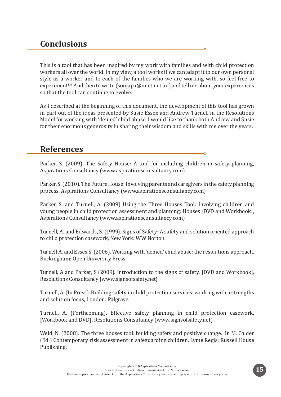## **Conclusions**

This is a tool that has been inspired by my work with families and with child protection workers all over the world. In my view, a tool works if we can adapt it to our own personal style as a worker and to each of the families who we are working with, so feel free to experiment!!! And then to write (sonjapa@iinet.net.au) and tell me about your experiences so that the tool can continue to evolve.

As I described at the beginning of this document, the development of this tool has grown in part out of the ideas presented by Susie Essex and Andrew Turnell in the Resolutions Model for working with 'denied' child abuse. I would like to thank both Andrew and Susie for their enormous generosity in sharing their wisdom and skills with me over the years.

## **References**

Parker, S. (2009). The Safety House: A tool for including children in safety planning, Aspirations Consultancy (www.aspirationsconsultancy.com)

Parker, S. (2010). The Future House: Involving parents and caregivers in the safety planning process. Aspirations Consultancy (www.aspirationsconsultancy.com)

Parker, S. and Turnell, A. (2009) Using the Three Houses Tool: Involving children and young people in child protection assessment and planning: Houses [DVD and Workbook], Aspirations Consultancy (www.aspirationsconsultancy.com)

Turnell, A. and Edwards, S. (1999). Signs of Safety: A safety and solution oriented approach to child protection casework, New York: WW Norton.

Turnell A. and Essex S. (2006). Working with 'denied' child abuse: the resolutions approach. Buckingham: Open University Press.

Turnell, A and Parker, S (2009). Introduction to the signs of safety. [DVD and Workbook], Resolutions Consultancy (www.signsofsafety.net)

Turnell, A. (In Press). Building safety in child protection services: working with a strengths and solution focus, London: Palgrave.

Turnell, A. (Forthcoming). Effective safety planning in child protection casework. [Workbook and DVD], Resolutions Consultancy (www.signsofsafety.net)

Weld, N. (2008). The three houses tool: building safety and positive change. In M. Calder (Ed.) Contemporary risk assessment in safeguarding children, Lyme Regis: Russell House Publishing.